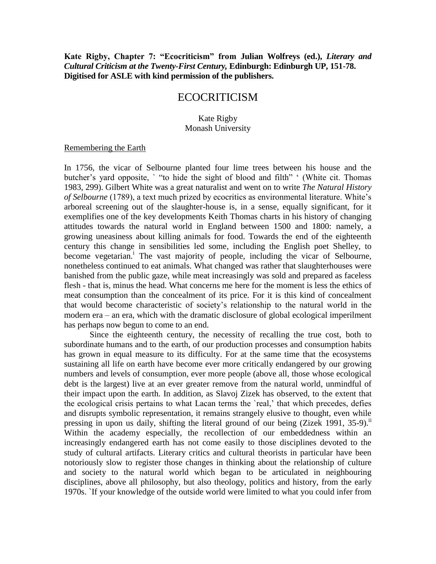**Kate Rigby, Chapter 7: "Ecocriticism" from Julian Wolfreys (ed.),** *Literary and Cultural Criticism at the Twenty-First Century,* **Edinburgh: Edinburgh UP, 151-78. Digitised for ASLE with kind permission of the publishers.**

# ECOCRITICISM

### Kate Rigby Monash University

#### Remembering the Earth

In 1756, the vicar of Selbourne planted four lime trees between his house and the butcher's yard opposite, ' "to hide the sight of blood and filth" ' (White cit. Thomas 1983, 299). Gilbert White was a great naturalist and went on to write *The Natural History of Selbourne* (1789), a text much prized by ecocritics as environmental literature. White"s arboreal screening out of the slaughter-house is, in a sense, equally significant, for it exemplifies one of the key developments Keith Thomas charts in his history of changing attitudes towards the natural world in England between 1500 and 1800: namely, a growing uneasiness about killing animals for food. Towards the end of the eighteenth century this change in sensibilities led some, including the English poet Shelley, to become vegetarian.<sup>i</sup> The vast majority of people, including the vicar of Selbourne, nonetheless continued to eat animals. What changed was rather that slaughterhouses were banished from the public gaze, while meat increasingly was sold and prepared as faceless flesh - that is, minus the head. What concerns me here for the moment is less the ethics of meat consumption than the concealment of its price. For it is this kind of concealment that would become characteristic of society"s relationship to the natural world in the modern era – an era, which with the dramatic disclosure of global ecological imperilment has perhaps now begun to come to an end.

Since the eighteenth century, the necessity of recalling the true cost, both to subordinate humans and to the earth, of our production processes and consumption habits has grown in equal measure to its difficulty. For at the same time that the ecosystems sustaining all life on earth have become ever more critically endangered by our growing numbers and levels of consumption, ever more people (above all, those whose ecological debt is the largest) live at an ever greater remove from the natural world, unmindful of their impact upon the earth. In addition, as Slavoj Zizek has observed, to the extent that the ecological crisis pertains to what Lacan terms the `real," that which precedes, defies and disrupts symbolic representation, it remains strangely elusive to thought, even while pressing in upon us daily, shifting the literal ground of our being (Zizek 1991, 35-9).<sup>ii</sup> Within the academy especially, the recollection of our embeddedness within an increasingly endangered earth has not come easily to those disciplines devoted to the study of cultural artifacts. Literary critics and cultural theorists in particular have been notoriously slow to register those changes in thinking about the relationship of culture and society to the natural world which began to be articulated in neighbouring disciplines, above all philosophy, but also theology, politics and history, from the early 1970s. `If your knowledge of the outside world were limited to what you could infer from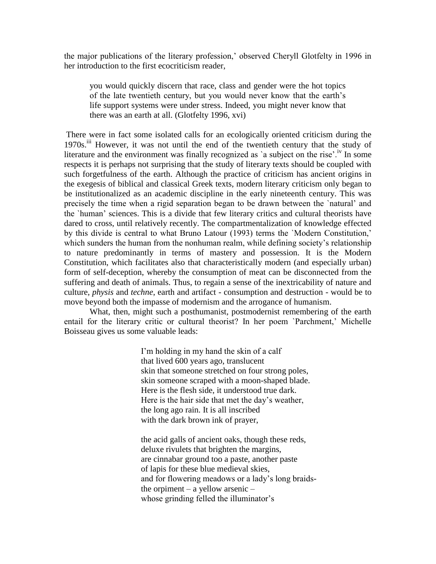the major publications of the literary profession," observed Cheryll Glotfelty in 1996 in her introduction to the first ecocriticism reader,

you would quickly discern that race, class and gender were the hot topics of the late twentieth century, but you would never know that the earth"s life support systems were under stress. Indeed, you might never know that there was an earth at all. (Glotfelty 1996, xvi)

There were in fact some isolated calls for an ecologically oriented criticism during the 1970s.<sup>iii</sup> However, it was not until the end of the twentieth century that the study of literature and the environment was finally recognized as 'a subject on the rise'.<sup>iv</sup> In some respects it is perhaps not surprising that the study of literary texts should be coupled with such forgetfulness of the earth. Although the practice of criticism has ancient origins in the exegesis of biblical and classical Greek texts, modern literary criticism only began to be institutionalized as an academic discipline in the early nineteenth century. This was precisely the time when a rigid separation began to be drawn between the `natural" and the `human" sciences. This is a divide that few literary critics and cultural theorists have dared to cross, until relatively recently. The compartmentalization of knowledge effected by this divide is central to what Bruno Latour (1993) terms the `Modern Constitution," which sunders the human from the nonhuman realm, while defining society's relationship to nature predominantly in terms of mastery and possession. It is the Modern Constitution, which facilitates also that characteristically modern (and especially urban) form of self-deception, whereby the consumption of meat can be disconnected from the suffering and death of animals. Thus, to regain a sense of the inextricability of nature and culture, *physis* and *techne*, earth and artifact - consumption and destruction - would be to move beyond both the impasse of modernism and the arrogance of humanism.

What, then, might such a posthumanist, postmodernist remembering of the earth entail for the literary critic or cultural theorist? In her poem `Parchment," Michelle Boisseau gives us some valuable leads:

> I"m holding in my hand the skin of a calf that lived 600 years ago, translucent skin that someone stretched on four strong poles, skin someone scraped with a moon-shaped blade. Here is the flesh side, it understood true dark. Here is the hair side that met the day's weather, the long ago rain. It is all inscribed with the dark brown ink of prayer,

the acid galls of ancient oaks, though these reds, deluxe rivulets that brighten the margins, are cinnabar ground too a paste, another paste of lapis for these blue medieval skies, and for flowering meadows or a lady"s long braidsthe orpiment – a yellow arsenic – whose grinding felled the illuminator's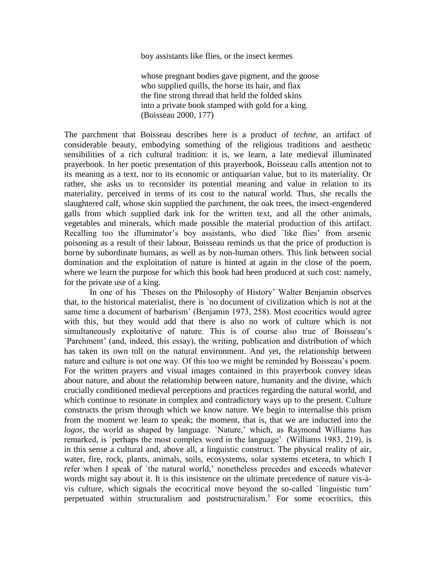boy assistants like flies, or the insect kermes

whose pregnant bodies gave pigment, and the goose who supplied quills, the horse its hair, and flax the fine strong thread that held the folded skins into a private book stamped with gold for a king. (Boisseau 2000, 177)

The parchment that Boisseau describes here is a product of *techne*, an artifact of considerable beauty, embodying something of the religious traditions and aesthetic sensibilities of a rich cultural tradition: it is, we learn, a late medieval illuminated prayerbook. In her poetic presentation of this prayerbook, Boisseau calls attention not to its meaning as a text, nor to its economic or antiquarian value, but to its materiality. Or rather, she asks us to reconsider its potential meaning and value in relation to its materiality, perceived in terms of its cost to the natural world. Thus, she recalls the slaughtered calf, whose skin supplied the parchment, the oak trees, the insect-engendered galls from which supplied dark ink for the written text, and all the other animals, vegetables and minerals, which made possible the material production of this artifact. Recalling too the illuminator's boy assistants, who died 'like flies' from arsenic poisoning as a result of their labour, Boisseau reminds us that the price of production is borne by subordinate humans, as well as by non-human others. This link between social domination and the exploitation of nature is hinted at again in the close of the poem, where we learn the purpose for which this book had been produced at such cost: namely, for the private use of a king.

In one of his `Theses on the Philosophy of History" Walter Benjamin observes that, to the historical materialist, there is `no document of civilization which is not at the same time a document of barbarism' (Benjamin 1973, 258). Most ecocritics would agree with this, but they would add that there is also no work of culture which is not simultaneously exploitative of nature. This is of course also true of Boisseau"s `Parchment" (and, indeed, this essay), the writing, publication and distribution of which has taken its own toll on the natural environment. And yet, the relationship between nature and culture is not one way. Of this too we might be reminded by Boisseau"s poem. For the written prayers and visual images contained in this prayerbook convey ideas about nature, and about the relationship between nature, humanity and the divine, which crucially conditioned medieval perceptions and practices regarding the natural world, and which continue to resonate in complex and contradictory ways up to the present. Culture constructs the prism through which we know nature. We begin to internalise this prism from the moment we learn to speak; the moment, that is, that we are inducted into the *logos*, the world as shaped by language. `Nature," which, as Raymond Williams has remarked, is 'perhaps the most complex word in the language' (Williams 1983, 219), is in this sense a cultural and, above all, a linguistic construct. The physical reality of air, water, fire, rock, plants, animals, soils, ecosystems, solar systems etcetera, to which I refer when I speak of `the natural world," nonetheless precedes and exceeds whatever words might say about it. It is this insistence on the ultimate precedence of nature vis-àvis culture, which signals the ecocritical move beyond the so-called `linguistic turn" perpetuated within structuralism and poststructuralism.<sup>V</sup> For some ecocritics, this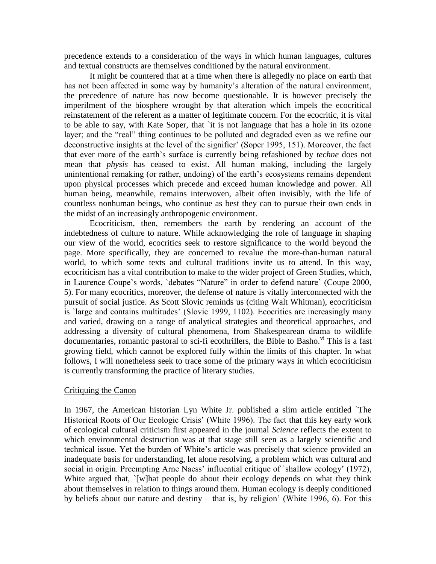precedence extends to a consideration of the ways in which human languages, cultures and textual constructs are themselves conditioned by the natural environment.

It might be countered that at a time when there is allegedly no place on earth that has not been affected in some way by humanity's alteration of the natural environment, the precedence of nature has now become questionable. It is however precisely the imperilment of the biosphere wrought by that alteration which impels the ecocritical reinstatement of the referent as a matter of legitimate concern. For the ecocritic, it is vital to be able to say, with Kate Soper, that `it is not language that has a hole in its ozone layer; and the "real" thing continues to be polluted and degraded even as we refine our deconstructive insights at the level of the signifier' (Soper 1995, 151). Moreover, the fact that ever more of the earth"s surface is currently being refashioned by *techne* does not mean that *physis* has ceased to exist. All human making, including the largely unintentional remaking (or rather, undoing) of the earth's ecosystems remains dependent upon physical processes which precede and exceed human knowledge and power. All human being, meanwhile, remains interwoven, albeit often invisibly, with the life of countless nonhuman beings, who continue as best they can to pursue their own ends in the midst of an increasingly anthropogenic environment.

Ecocriticism, then, remembers the earth by rendering an account of the indebtedness of culture to nature. While acknowledging the role of language in shaping our view of the world, ecocritics seek to restore significance to the world beyond the page. More specifically, they are concerned to revalue the more-than-human natural world, to which some texts and cultural traditions invite us to attend. In this way, ecocriticism has a vital contribution to make to the wider project of Green Studies, which, in Laurence Coupe's words, 'debates "Nature" in order to defend nature' (Coupe 2000, 5). For many ecocritics, moreover, the defense of nature is vitally interconnected with the pursuit of social justice. As Scott Slovic reminds us (citing Walt Whitman), ecocriticism is `large and contains multitudes" (Slovic 1999, 1102). Ecocritics are increasingly many and varied, drawing on a range of analytical strategies and theoretical approaches, and addressing a diversity of cultural phenomena, from Shakespearean drama to wildlife documentaries, romantic pastoral to sci-fi ecothrillers, the Bible to Basho.<sup>vi</sup> This is a fast growing field, which cannot be explored fully within the limits of this chapter. In what follows, I will nonetheless seek to trace some of the primary ways in which ecocriticism is currently transforming the practice of literary studies.

# Critiquing the Canon

In 1967, the American historian Lyn White Jr. published a slim article entitled `The Historical Roots of Our Ecologic Crisis" (White 1996). The fact that this key early work of ecological cultural criticism first appeared in the journal *Science* reflects the extent to which environmental destruction was at that stage still seen as a largely scientific and technical issue. Yet the burden of White"s article was precisely that science provided an inadequate basis for understanding, let alone resolving, a problem which was cultural and social in origin. Preempting Arne Naess' influential critique of 'shallow ecology' (1972), White argued that, `[w]hat people do about their ecology depends on what they think about themselves in relation to things around them. Human ecology is deeply conditioned by beliefs about our nature and destiny – that is, by religion" (White 1996, 6). For this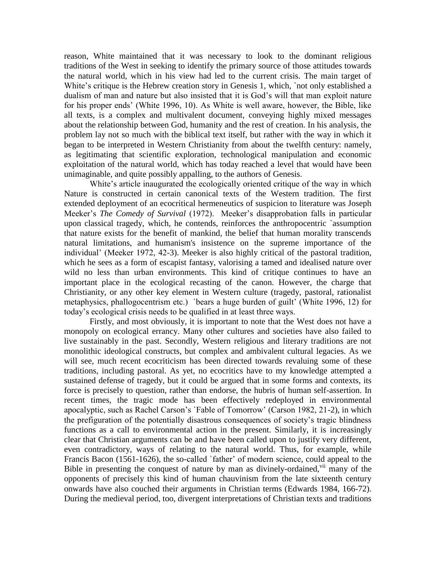reason, White maintained that it was necessary to look to the dominant religious traditions of the West in seeking to identify the primary source of those attitudes towards the natural world, which in his view had led to the current crisis. The main target of White's critique is the Hebrew creation story in Genesis 1, which, 'not only established a dualism of man and nature but also insisted that it is God's will that man exploit nature for his proper ends" (White 1996, 10). As White is well aware, however, the Bible, like all texts, is a complex and multivalent document, conveying highly mixed messages about the relationship between God, humanity and the rest of creation. In his analysis, the problem lay not so much with the biblical text itself, but rather with the way in which it began to be interpreted in Western Christianity from about the twelfth century: namely, as legitimating that scientific exploration, technological manipulation and economic exploitation of the natural world, which has today reached a level that would have been unimaginable, and quite possibly appalling, to the authors of Genesis.

White's article inaugurated the ecologically oriented critique of the way in which Nature is constructed in certain canonical texts of the Western tradition. The first extended deployment of an ecocritical hermeneutics of suspicion to literature was Joseph Meeker"s *The Comedy of Survival* (1972). Meeker"s disapprobation falls in particular upon classical tragedy, which, he contends, reinforces the anthropocentric `assumption that nature exists for the benefit of mankind, the belief that human morality transcends natural limitations, and humanism's insistence on the supreme importance of the individual" (Meeker 1972, 42-3). Meeker is also highly critical of the pastoral tradition, which he sees as a form of escapist fantasy, valorising a tamed and idealised nature over wild no less than urban environments. This kind of critique continues to have an important place in the ecological recasting of the canon. However, the charge that Christianity, or any other key element in Western culture (tragedy, pastoral, rationalist metaphysics, phallogocentrism etc.) `bears a huge burden of guilt" (White 1996, 12) for today"s ecological crisis needs to be qualified in at least three ways.

Firstly, and most obviously, it is important to note that the West does not have a monopoly on ecological errancy. Many other cultures and societies have also failed to live sustainably in the past. Secondly, Western religious and literary traditions are not monolithic ideological constructs, but complex and ambivalent cultural legacies. As we will see, much recent ecocriticism has been directed towards revaluing some of these traditions, including pastoral. As yet, no ecocritics have to my knowledge attempted a sustained defense of tragedy, but it could be argued that in some forms and contexts, its force is precisely to question, rather than endorse, the hubris of human self-assertion. In recent times, the tragic mode has been effectively redeployed in environmental apocalyptic, such as Rachel Carson"s `Fable of Tomorrow" (Carson 1982, 21-2), in which the prefiguration of the potentially disastrous consequences of society"s tragic blindness functions as a call to environmental action in the present. Similarly, it is increasingly clear that Christian arguments can be and have been called upon to justify very different, even contradictory, ways of relating to the natural world. Thus, for example, while Francis Bacon (1561-1626), the so-called `father' of modern science, could appeal to the Bible in presenting the conquest of nature by man as divinely-ordained,  $\ddot{v}$  many of the opponents of precisely this kind of human chauvinism from the late sixteenth century onwards have also couched their arguments in Christian terms (Edwards 1984, 166-72). During the medieval period, too, divergent interpretations of Christian texts and traditions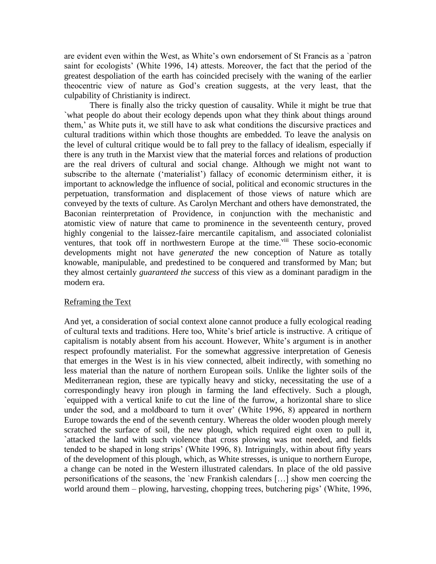are evident even within the West, as White"s own endorsement of St Francis as a `patron saint for ecologists" (White 1996, 14) attests. Moreover, the fact that the period of the greatest despoliation of the earth has coincided precisely with the waning of the earlier theocentric view of nature as God"s creation suggests, at the very least, that the culpability of Christianity is indirect.

There is finally also the tricky question of causality. While it might be true that `what people do about their ecology depends upon what they think about things around them," as White puts it, we still have to ask what conditions the discursive practices and cultural traditions within which those thoughts are embedded. To leave the analysis on the level of cultural critique would be to fall prey to the fallacy of idealism, especially if there is any truth in the Marxist view that the material forces and relations of production are the real drivers of cultural and social change. Although we might not want to subscribe to the alternate ('materialist') fallacy of economic determinism either, it is important to acknowledge the influence of social, political and economic structures in the perpetuation, transformation and displacement of those views of nature which are conveyed by the texts of culture. As Carolyn Merchant and others have demonstrated, the Baconian reinterpretation of Providence, in conjunction with the mechanistic and atomistic view of nature that came to prominence in the seventeenth century, proved highly congenial to the laissez-faire mercantile capitalism, and associated colonialist ventures, that took off in northwestern Europe at the time.<sup>viii</sup> These socio-economic developments might not have *generated* the new conception of Nature as totally knowable, manipulable, and predestined to be conquered and transformed by Man; but they almost certainly *guaranteed the success* of this view as a dominant paradigm in the modern era.

# Reframing the Text

And yet, a consideration of social context alone cannot produce a fully ecological reading of cultural texts and traditions. Here too, White"s brief article is instructive. A critique of capitalism is notably absent from his account. However, White"s argument is in another respect profoundly materialist. For the somewhat aggressive interpretation of Genesis that emerges in the West is in his view connected, albeit indirectly, with something no less material than the nature of northern European soils. Unlike the lighter soils of the Mediterranean region, these are typically heavy and sticky, necessitating the use of a correspondingly heavy iron plough in farming the land effectively. Such a plough, `equipped with a vertical knife to cut the line of the furrow, a horizontal share to slice under the sod, and a moldboard to turn it over' (White 1996, 8) appeared in northern Europe towards the end of the seventh century. Whereas the older wooden plough merely scratched the surface of soil, the new plough, which required eight oxen to pull it, `attacked the land with such violence that cross plowing was not needed, and fields tended to be shaped in long strips" (White 1996, 8). Intriguingly, within about fifty years of the development of this plough, which, as White stresses, is unique to northern Europe, a change can be noted in the Western illustrated calendars. In place of the old passive personifications of the seasons, the `new Frankish calendars […] show men coercing the world around them – plowing, harvesting, chopping trees, butchering pigs" (White, 1996,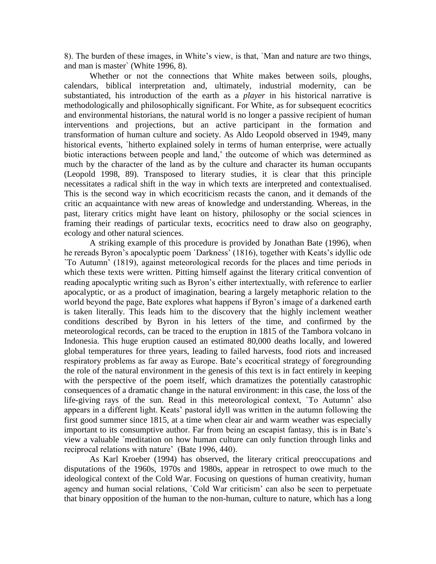8). The burden of these images, in White"s view, is that, `Man and nature are two things, and man is master` (White 1996, 8).

Whether or not the connections that White makes between soils, ploughs, calendars, biblical interpretation and, ultimately, industrial modernity, can be substantiated, his introduction of the earth as a *player* in his historical narrative is methodologically and philosophically significant. For White, as for subsequent ecocritics and environmental historians, the natural world is no longer a passive recipient of human interventions and projections, but an active participant in the formation and transformation of human culture and society. As Aldo Leopold observed in 1949, many historical events, `hitherto explained solely in terms of human enterprise, were actually biotic interactions between people and land," the outcome of which was determined as much by the character of the land as by the culture and character its human occupants (Leopold 1998, 89). Transposed to literary studies, it is clear that this principle necessitates a radical shift in the way in which texts are interpreted and contextualised. This is the second way in which ecocriticism recasts the canon, and it demands of the critic an acquaintance with new areas of knowledge and understanding. Whereas, in the past, literary critics might have leant on history, philosophy or the social sciences in framing their readings of particular texts, ecocritics need to draw also on geography, ecology and other natural sciences.

A striking example of this procedure is provided by Jonathan Bate (1996), when he rereads Byron's apocalyptic poem 'Darkness' (1816), together with Keats's idyllic ode `To Autumn" (1819), against meteorological records for the places and time periods in which these texts were written. Pitting himself against the literary critical convention of reading apocalyptic writing such as Byron"s either intertextually, with reference to earlier apocalyptic, or as a product of imagination, bearing a largely metaphoric relation to the world beyond the page, Bate explores what happens if Byron"s image of a darkened earth is taken literally. This leads him to the discovery that the highly inclement weather conditions described by Byron in his letters of the time, and confirmed by the meteorological records, can be traced to the eruption in 1815 of the Tambora volcano in Indonesia. This huge eruption caused an estimated 80,000 deaths locally, and lowered global temperatures for three years, leading to failed harvests, food riots and increased respiratory problems as far away as Europe. Bate's ecocritical strategy of foregrounding the role of the natural environment in the genesis of this text is in fact entirely in keeping with the perspective of the poem itself, which dramatizes the potentially catastrophic consequences of a dramatic change in the natural environment: in this case, the loss of the life-giving rays of the sun. Read in this meteorological context, `To Autumn" also appears in a different light. Keats' pastoral idyll was written in the autumn following the first good summer since 1815, at a time when clear air and warm weather was especially important to its consumptive author. Far from being an escapist fantasy, this is in Bate"s view a valuable `meditation on how human culture can only function through links and reciprocal relations with nature' (Bate 1996, 440).

As Karl Kroeber (1994) has observed, the literary critical preoccupations and disputations of the 1960s, 1970s and 1980s, appear in retrospect to owe much to the ideological context of the Cold War. Focusing on questions of human creativity, human agency and human social relations, `Cold War criticism' can also be seen to perpetuate that binary opposition of the human to the non-human, culture to nature, which has a long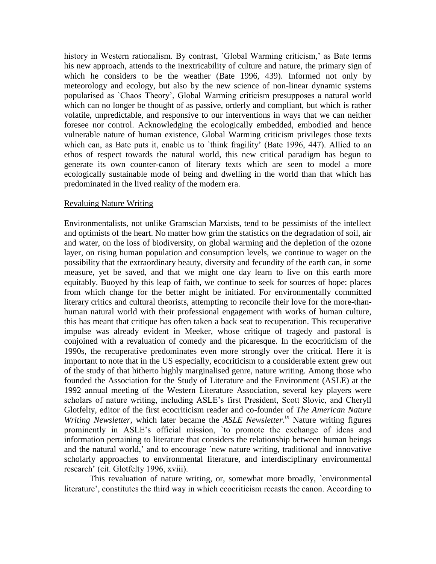history in Western rationalism. By contrast, 'Global Warming criticism,' as Bate terms his new approach, attends to the inextricability of culture and nature, the primary sign of which he considers to be the weather (Bate 1996, 439). Informed not only by meteorology and ecology, but also by the new science of non-linear dynamic systems popularised as `Chaos Theory", Global Warming criticism presupposes a natural world which can no longer be thought of as passive, orderly and compliant, but which is rather volatile, unpredictable, and responsive to our interventions in ways that we can neither foresee nor control. Acknowledging the ecologically embedded, embodied and hence vulnerable nature of human existence, Global Warming criticism privileges those texts which can, as Bate puts it, enable us to 'think fragility' (Bate 1996, 447). Allied to an ethos of respect towards the natural world, this new critical paradigm has begun to generate its own counter-canon of literary texts which are seen to model a more ecologically sustainable mode of being and dwelling in the world than that which has predominated in the lived reality of the modern era.

### Revaluing Nature Writing

Environmentalists, not unlike Gramscian Marxists, tend to be pessimists of the intellect and optimists of the heart. No matter how grim the statistics on the degradation of soil, air and water, on the loss of biodiversity, on global warming and the depletion of the ozone layer, on rising human population and consumption levels, we continue to wager on the possibility that the extraordinary beauty, diversity and fecundity of the earth can, in some measure, yet be saved, and that we might one day learn to live on this earth more equitably. Buoyed by this leap of faith, we continue to seek for sources of hope: places from which change for the better might be initiated. For environmentally committed literary critics and cultural theorists, attempting to reconcile their love for the more-thanhuman natural world with their professional engagement with works of human culture, this has meant that critique has often taken a back seat to recuperation. This recuperative impulse was already evident in Meeker, whose critique of tragedy and pastoral is conjoined with a revaluation of comedy and the picaresque. In the ecocriticism of the 1990s, the recuperative predominates even more strongly over the critical. Here it is important to note that in the US especially, ecocriticism to a considerable extent grew out of the study of that hitherto highly marginalised genre, nature writing. Among those who founded the Association for the Study of Literature and the Environment (ASLE) at the 1992 annual meeting of the Western Literature Association, several key players were scholars of nature writing, including ASLE"s first President, Scott Slovic, and Cheryll Glotfelty, editor of the first ecocriticism reader and co-founder of *The American Nature*  Writing Newsletter, which later became the *ASLE Newsletter*.<sup>ix</sup> Nature writing figures prominently in ASLE"s official mission, `to promote the exchange of ideas and information pertaining to literature that considers the relationship between human beings and the natural world,' and to encourage `new nature writing, traditional and innovative scholarly approaches to environmental literature, and interdisciplinary environmental research' (cit. Glotfelty 1996, xviii).

This revaluation of nature writing, or, somewhat more broadly, `environmental literature', constitutes the third way in which ecocriticism recasts the canon. According to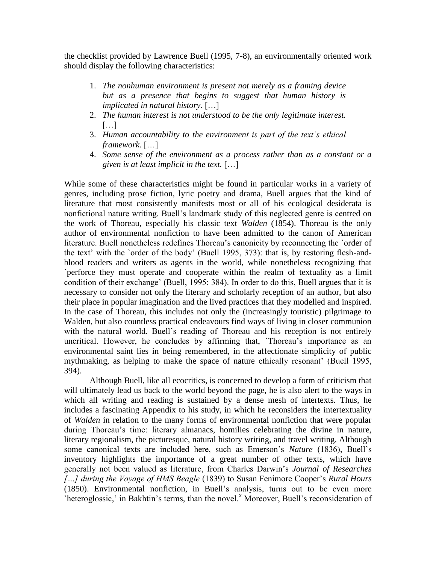the checklist provided by Lawrence Buell (1995, 7-8), an environmentally oriented work should display the following characteristics:

- 1. *The nonhuman environment is present not merely as a framing device but as a presence that begins to suggest that human history is implicated in natural history.* […]
- 2. *The human interest is not understood to be the only legitimate interest.*   $\lceil$ ...]
- 3. *Human accountability to the environment is part of the text's ethical framework.* […]
- 4. *Some sense of the environment as a process rather than as a constant or a given is at least implicit in the text.* […]

While some of these characteristics might be found in particular works in a variety of genres, including prose fiction, lyric poetry and drama, Buell argues that the kind of literature that most consistently manifests most or all of his ecological desiderata is nonfictional nature writing. Buell"s landmark study of this neglected genre is centred on the work of Thoreau, especially his classic text *Walden* (1854). Thoreau is the only author of environmental nonfiction to have been admitted to the canon of American literature. Buell nonetheless redefines Thoreau's canonicity by reconnecting the 'order of the text" with the `order of the body" (Buell 1995, 373): that is, by restoring flesh-andblood readers and writers as agents in the world, while nonetheless recognizing that `perforce they must operate and cooperate within the realm of textuality as a limit condition of their exchange' (Buell, 1995: 384). In order to do this, Buell argues that it is necessary to consider not only the literary and scholarly reception of an author, but also their place in popular imagination and the lived practices that they modelled and inspired. In the case of Thoreau, this includes not only the (increasingly touristic) pilgrimage to Walden, but also countless practical endeavours find ways of living in closer communion with the natural world. Buell's reading of Thoreau and his reception is not entirely uncritical. However, he concludes by affirming that, `Thoreau"s importance as an environmental saint lies in being remembered, in the affectionate simplicity of public mythmaking, as helping to make the space of nature ethically resonant' (Buell 1995, 394).

Although Buell, like all ecocritics, is concerned to develop a form of criticism that will ultimately lead us back to the world beyond the page, he is also alert to the ways in which all writing and reading is sustained by a dense mesh of intertexts. Thus, he includes a fascinating Appendix to his study, in which he reconsiders the intertextuality of *Walden* in relation to the many forms of environmental nonfiction that were popular during Thoreau's time: literary almanacs, homilies celebrating the divine in nature, literary regionalism, the picturesque, natural history writing, and travel writing. Although some canonical texts are included here, such as Emerson's *Nature* (1836), Buell's inventory highlights the importance of a great number of other texts, which have generally not been valued as literature, from Charles Darwin"s *Journal of Researches […] during the Voyage of HMS Beagle* (1839) to Susan Fenimore Cooper"s *Rural Hours* (1850). Environmental nonfiction, in Buell"s analysis, turns out to be even more 'heteroglossic,' in Bakhtin's terms, than the novel.<sup>x</sup> Moreover, Buell's reconsideration of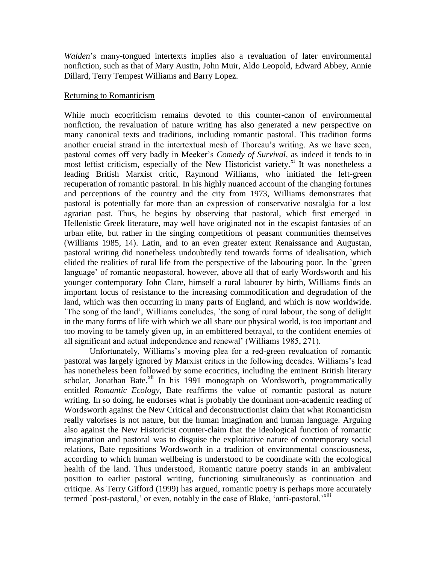*Walden*"s many-tongued intertexts implies also a revaluation of later environmental nonfiction, such as that of Mary Austin, John Muir, Aldo Leopold, Edward Abbey, Annie Dillard, Terry Tempest Williams and Barry Lopez.

### Returning to Romanticism

While much ecocriticism remains devoted to this counter-canon of environmental nonfiction, the revaluation of nature writing has also generated a new perspective on many canonical texts and traditions, including romantic pastoral. This tradition forms another crucial strand in the intertextual mesh of Thoreau"s writing. As we have seen, pastoral comes off very badly in Meeker"s *Comedy of Survival*, as indeed it tends to in most leftist criticism, especially of the New Historicist variety.<sup>xi</sup> It was nonetheless a leading British Marxist critic, Raymond Williams, who initiated the left-green recuperation of romantic pastoral. In his highly nuanced account of the changing fortunes and perceptions of the country and the city from 1973, Williams demonstrates that pastoral is potentially far more than an expression of conservative nostalgia for a lost agrarian past. Thus, he begins by observing that pastoral, which first emerged in Hellenistic Greek literature, may well have originated not in the escapist fantasies of an urban elite, but rather in the singing competitions of peasant communities themselves (Williams 1985, 14). Latin, and to an even greater extent Renaissance and Augustan, pastoral writing did nonetheless undoubtedly tend towards forms of idealisation, which elided the realities of rural life from the perspective of the labouring poor. In the `green language' of romantic neopastoral, however, above all that of early Wordsworth and his younger contemporary John Clare, himself a rural labourer by birth, Williams finds an important locus of resistance to the increasing commodification and degradation of the land, which was then occurring in many parts of England, and which is now worldwide. `The song of the land", Williams concludes, `the song of rural labour, the song of delight in the many forms of life with which we all share our physical world, is too important and too moving to be tamely given up, in an embittered betrayal, to the confident enemies of all significant and actual independence and renewal" (Williams 1985, 271).

Unfortunately, Williams"s moving plea for a red-green revaluation of romantic pastoral was largely ignored by Marxist critics in the following decades. Williams"s lead has nonetheless been followed by some ecocritics, including the eminent British literary scholar, Jonathan Bate. $x^{11}$  In his 1991 monograph on Wordsworth, programmatically entitled *Romantic Ecology*, Bate reaffirms the value of romantic pastoral as nature writing. In so doing, he endorses what is probably the dominant non-academic reading of Wordsworth against the New Critical and deconstructionist claim that what Romanticism really valorises is not nature, but the human imagination and human language. Arguing also against the New Historicist counter-claim that the ideological function of romantic imagination and pastoral was to disguise the exploitative nature of contemporary social relations, Bate repositions Wordsworth in a tradition of environmental consciousness, according to which human wellbeing is understood to be coordinate with the ecological health of the land. Thus understood, Romantic nature poetry stands in an ambivalent position to earlier pastoral writing, functioning simultaneously as continuation and critique. As Terry Gifford (1999) has argued, romantic poetry is perhaps more accurately termed `post-pastoral,' or even, notably in the case of Blake, 'anti-pastoral.'<sup>xiii</sup>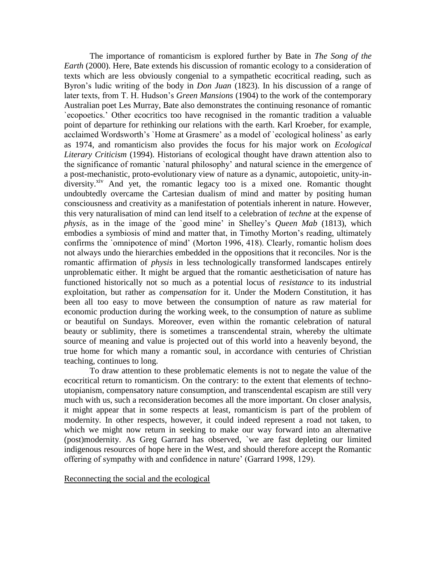The importance of romanticism is explored further by Bate in *The Song of the Earth* (2000). Here, Bate extends his discussion of romantic ecology to a consideration of texts which are less obviously congenial to a sympathetic ecocritical reading, such as Byron"s ludic writing of the body in *Don Juan* (1823). In his discussion of a range of later texts, from T. H. Hudson's *Green Mansions* (1904) to the work of the contemporary Australian poet Les Murray, Bate also demonstrates the continuing resonance of romantic `ecopoetics." Other ecocritics too have recognised in the romantic tradition a valuable point of departure for rethinking our relations with the earth. Karl Kroeber, for example, acclaimed Wordsworth's `Home at Grasmere' as a model of `ecological holiness' as early as 1974, and romanticism also provides the focus for his major work on *Ecological Literary Criticism* (1994). Historians of ecological thought have drawn attention also to the significance of romantic `natural philosophy" and natural science in the emergence of a post-mechanistic, proto-evolutionary view of nature as a dynamic, autopoietic, unity-indiversity. $x^{div}$  And yet, the romantic legacy too is a mixed one. Romantic thought undoubtedly overcame the Cartesian dualism of mind and matter by positing human consciousness and creativity as a manifestation of potentials inherent in nature. However, this very naturalisation of mind can lend itself to a celebration of *techne* at the expense of *physis*, as in the image of the `good mine" in Shelley"s *Queen Mab* (1813), which embodies a symbiosis of mind and matter that, in Timothy Morton's reading, ultimately confirms the `omnipotence of mind" (Morton 1996, 418). Clearly, romantic holism does not always undo the hierarchies embedded in the oppositions that it reconciles. Nor is the romantic affirmation of *physis* in less technologically transformed landscapes entirely unproblematic either. It might be argued that the romantic aestheticisation of nature has functioned historically not so much as a potential locus of *resistance* to its industrial exploitation, but rather as *compensation* for it. Under the Modern Constitution, it has been all too easy to move between the consumption of nature as raw material for economic production during the working week, to the consumption of nature as sublime or beautiful on Sundays. Moreover, even within the romantic celebration of natural beauty or sublimity, there is sometimes a transcendental strain, whereby the ultimate source of meaning and value is projected out of this world into a heavenly beyond, the true home for which many a romantic soul, in accordance with centuries of Christian teaching, continues to long.

To draw attention to these problematic elements is not to negate the value of the ecocritical return to romanticism. On the contrary: to the extent that elements of technoutopianism, compensatory nature consumption, and transcendental escapism are still very much with us, such a reconsideration becomes all the more important. On closer analysis, it might appear that in some respects at least, romanticism is part of the problem of modernity. In other respects, however, it could indeed represent a road not taken, to which we might now return in seeking to make our way forward into an alternative (post)modernity. As Greg Garrard has observed, `we are fast depleting our limited indigenous resources of hope here in the West, and should therefore accept the Romantic offering of sympathy with and confidence in nature" (Garrard 1998, 129).

#### Reconnecting the social and the ecological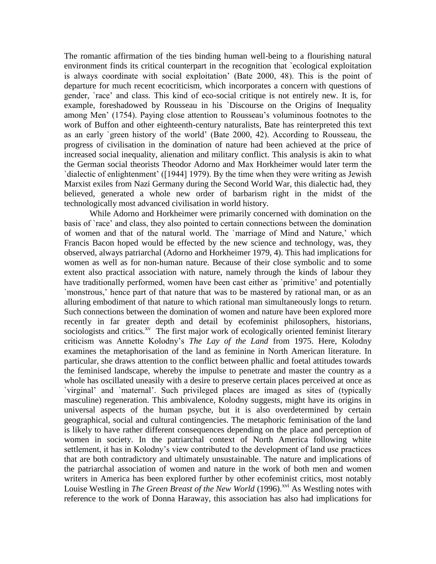The romantic affirmation of the ties binding human well-being to a flourishing natural environment finds its critical counterpart in the recognition that `ecological exploitation is always coordinate with social exploitation" (Bate 2000, 48). This is the point of departure for much recent ecocriticism, which incorporates a concern with questions of gender, `race" and class. This kind of eco-social critique is not entirely new. It is, for example, foreshadowed by Rousseau in his `Discourse on the Origins of Inequality among Men" (1754). Paying close attention to Rousseau"s voluminous footnotes to the work of Buffon and other eighteenth-century naturalists, Bate has reinterpreted this text as an early `green history of the world" (Bate 2000, 42). According to Rousseau, the progress of civilisation in the domination of nature had been achieved at the price of increased social inequality, alienation and military conflict. This analysis is akin to what the German social theorists Theodor Adorno and Max Horkheimer would later term the `dialectic of enlightenment" ([1944] 1979). By the time when they were writing as Jewish Marxist exiles from Nazi Germany during the Second World War, this dialectic had, they believed, generated a whole new order of barbarism right in the midst of the technologically most advanced civilisation in world history.

While Adorno and Horkheimer were primarily concerned with domination on the basis of `race" and class, they also pointed to certain connections between the domination of women and that of the natural world. The `marriage of Mind and Nature,' which Francis Bacon hoped would be effected by the new science and technology, was, they observed, always patriarchal (Adorno and Horkheimer 1979, 4). This had implications for women as well as for non-human nature. Because of their close symbolic and to some extent also practical association with nature, namely through the kinds of labour they have traditionally performed, women have been cast either as 'primitive' and potentially `monstrous," hence part of that nature that was to be mastered by rational man, or as an alluring embodiment of that nature to which rational man simultaneously longs to return. Such connections between the domination of women and nature have been explored more recently in far greater depth and detail by ecofeminist philosophers, historians, sociologists and critics.<sup>xv</sup> The first major work of ecologically oriented feminist literary criticism was Annette Kolodny"s *The Lay of the Land* from 1975. Here, Kolodny examines the metaphorisation of the land as feminine in North American literature. In particular, she draws attention to the conflict between phallic and foetal attitudes towards the feminised landscape, whereby the impulse to penetrate and master the country as a whole has oscillated uneasily with a desire to preserve certain places perceived at once as `virginal" and `maternal". Such privileged places are imaged as sites of (typically masculine) regeneration. This ambivalence, Kolodny suggests, might have its origins in universal aspects of the human psyche, but it is also overdetermined by certain geographical, social and cultural contingencies. The metaphoric feminisation of the land is likely to have rather different consequences depending on the place and perception of women in society. In the patriarchal context of North America following white settlement, it has in Kolodny"s view contributed to the development of land use practices that are both contradictory and ultimately unsustainable. The nature and implications of the patriarchal association of women and nature in the work of both men and women writers in America has been explored further by other ecofeminist critics, most notably Louise Westling in *The Green Breast of the New World* (1996).<sup>xvi</sup> As Westling notes with reference to the work of Donna Haraway, this association has also had implications for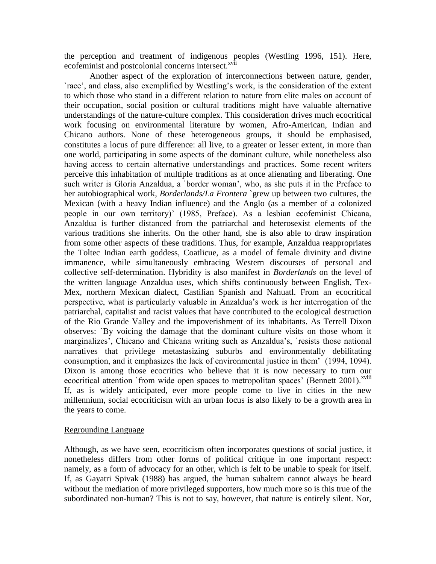the perception and treatment of indigenous peoples (Westling 1996, 151). Here, ecofeminist and postcolonial concerns intersect.<sup>xvii</sup>

Another aspect of the exploration of interconnections between nature, gender, `race", and class, also exemplified by Westling"s work, is the consideration of the extent to which those who stand in a different relation to nature from elite males on account of their occupation, social position or cultural traditions might have valuable alternative understandings of the nature-culture complex. This consideration drives much ecocritical work focusing on environmental literature by women, Afro-American, Indian and Chicano authors. None of these heterogeneous groups, it should be emphasised, constitutes a locus of pure difference: all live, to a greater or lesser extent, in more than one world, participating in some aspects of the dominant culture, while nonetheless also having access to certain alternative understandings and practices. Some recent writers perceive this inhabitation of multiple traditions as at once alienating and liberating. One such writer is Gloria Anzaldua, a `border woman", who, as she puts it in the Preface to her autobiographical work, *Borderlands/La Frontera* `grew up between two cultures, the Mexican (with a heavy Indian influence) and the Anglo (as a member of a colonized people in our own territory)" (1985, Preface). As a lesbian ecofeminist Chicana, Anzaldua is further distanced from the patriarchal and heterosexist elements of the various traditions she inherits. On the other hand, she is also able to draw inspiration from some other aspects of these traditions. Thus, for example, Anzaldua reappropriates the Toltec Indian earth goddess, Coatlicue, as a model of female divinity and divine immanence, while simultaneously embracing Western discourses of personal and collective self-determination. Hybridity is also manifest in *Borderlands* on the level of the written language Anzaldua uses, which shifts continuously between English, Tex-Mex, northern Mexican dialect, Castilian Spanish and Nahuatl. From an ecocritical perspective, what is particularly valuable in Anzaldua"s work is her interrogation of the patriarchal, capitalist and racist values that have contributed to the ecological destruction of the Rio Grande Valley and the impoverishment of its inhabitants. As Terrell Dixon observes: `By voicing the damage that the dominant culture visits on those whom it marginalizes', Chicano and Chicana writing such as Anzaldua's, 'resists those national narratives that privilege metastasizing suburbs and environmentally debilitating consumption, and it emphasizes the lack of environmental justice in them" (1994, 1094). Dixon is among those ecocritics who believe that it is now necessary to turn our ecocritical attention `from wide open spaces to metropolitan spaces' (Bennett 2001).<sup>xviii</sup> If, as is widely anticipated, ever more people come to live in cities in the new millennium, social ecocriticism with an urban focus is also likely to be a growth area in the years to come.

#### Regrounding Language

Although, as we have seen, ecocriticism often incorporates questions of social justice, it nonetheless differs from other forms of political critique in one important respect: namely, as a form of advocacy for an other, which is felt to be unable to speak for itself. If, as Gayatri Spivak (1988) has argued, the human subaltern cannot always be heard without the mediation of more privileged supporters, how much more so is this true of the subordinated non-human? This is not to say, however, that nature is entirely silent. Nor,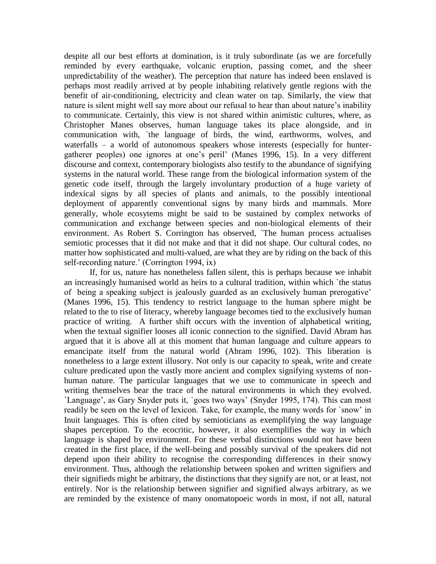despite all our best efforts at domination, is it truly subordinate (as we are forcefully reminded by every earthquake, volcanic eruption, passing comet, and the sheer unpredictability of the weather). The perception that nature has indeed been enslaved is perhaps most readily arrived at by people inhabiting relatively gentle regions with the benefit of air-conditioning, electricity and clean water on tap. Similarly, the view that nature is silent might well say more about our refusal to hear than about nature's inability to communicate. Certainly, this view is not shared within animistic cultures, where, as Christopher Manes observes, human language takes its place alongside, and in communication with, `the language of birds, the wind, earthworms, wolves, and waterfalls – a world of autonomous speakers whose interests (especially for huntergatherer peoples) one ignores at one"s peril" (Manes 1996, 15). In a very different discourse and context, contemporary biologists also testify to the abundance of signifying systems in the natural world. These range from the biological information system of the genetic code itself, through the largely involuntary production of a huge variety of indexical signs by all species of plants and animals, to the possibly intentional deployment of apparently conventional signs by many birds and mammals. More generally, whole ecosytems might be said to be sustained by complex networks of communication and exchange between species and non-biological elements of their environment. As Robert S. Corrington has observed, `The human process actualises semiotic processes that it did not make and that it did not shape. Our cultural codes, no matter how sophisticated and multi-valued, are what they are by riding on the back of this self-recording nature.' (Corrington 1994, ix)

If, for us, nature has nonetheless fallen silent, this is perhaps because we inhabit an increasingly humanised world as heirs to a cultural tradition, within which `the status of being a speaking subject is jealously guarded as an exclusively human prerogative" (Manes 1996, 15). This tendency to restrict language to the human sphere might be related to the to rise of literacy, whereby language becomes tied to the exclusively human practice of writing. A further shift occurs with the invention of alphabetical writing, when the textual signifier looses all iconic connection to the signified. David Abram has argued that it is above all at this moment that human language and culture appears to emancipate itself from the natural world (Abram 1996, 102). This liberation is nonetheless to a large extent illusory. Not only is our capacity to speak, write and create culture predicated upon the vastly more ancient and complex signifying systems of nonhuman nature. The particular languages that we use to communicate in speech and writing themselves bear the trace of the natural environments in which they evolved. `Language", as Gary Snyder puts it, `goes two ways" (Snyder 1995, 174). This can most readily be seen on the level of lexicon. Take, for example, the many words for `snow" in Inuit languages. This is often cited by semioticians as exemplifying the way language shapes perception. To the ecocritic, however, it also exemplifies the way in which language is shaped by environment. For these verbal distinctions would not have been created in the first place, if the well-being and possibly survival of the speakers did not depend upon their ability to recognise the corresponding differences in their snowy environment. Thus, although the relationship between spoken and written signifiers and their signifieds might be arbitrary, the distinctions that they signify are not, or at least, not entirely. Nor is the relationship between signifier and signified always arbitrary, as we are reminded by the existence of many onomatopoeic words in most, if not all, natural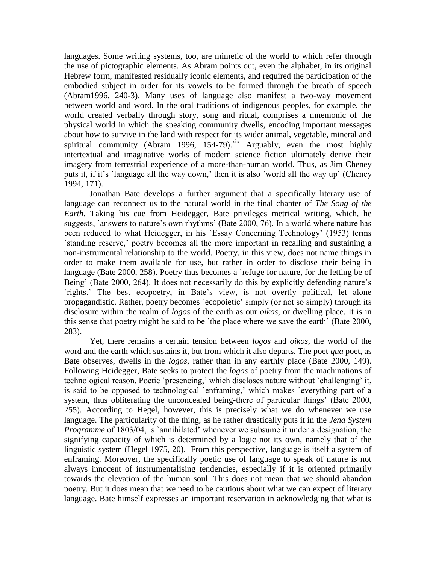languages. Some writing systems, too, are mimetic of the world to which refer through the use of pictographic elements. As Abram points out, even the alphabet, in its original Hebrew form, manifested residually iconic elements, and required the participation of the embodied subject in order for its vowels to be formed through the breath of speech (Abram1996, 240-3). Many uses of language also manifest a two-way movement between world and word. In the oral traditions of indigenous peoples, for example, the world created verbally through story, song and ritual, comprises a mnemonic of the physical world in which the speaking community dwells, encoding important messages about how to survive in the land with respect for its wider animal, vegetable, mineral and spiritual community (Abram 1996,  $154-79$ ).<sup>xix</sup> Arguably, even the most highly intertextual and imaginative works of modern science fiction ultimately derive their imagery from terrestrial experience of a more-than-human world. Thus, as Jim Cheney puts it, if it's `language all the way down,' then it is also `world all the way up' (Cheney 1994, 171).

Jonathan Bate develops a further argument that a specifically literary use of language can reconnect us to the natural world in the final chapter of *The Song of the Earth*. Taking his cue from Heidegger, Bate privileges metrical writing, which, he suggests, `answers to nature's own rhythms' (Bate 2000, 76). In a world where nature has been reduced to what Heidegger, in his `Essay Concerning Technology" (1953) terms `standing reserve,' poetry becomes all the more important in recalling and sustaining a non-instrumental relationship to the world. Poetry, in this view, does not name things in order to make them available for use, but rather in order to disclose their being in language (Bate 2000, 258). Poetry thus becomes a `refuge for nature, for the letting be of Being' (Bate 2000, 264). It does not necessarily do this by explicitly defending nature's `rights." The best ecopoetry, in Bate"s view, is not overtly political, let alone propagandistic. Rather, poetry becomes `ecopoietic" simply (or not so simply) through its disclosure within the realm of *logos* of the earth as our *oikos*, or dwelling place. It is in this sense that poetry might be said to be `the place where we save the earth" (Bate 2000, 283).

Yet, there remains a certain tension between *logos* and *oikos*, the world of the word and the earth which sustains it, but from which it also departs. The poet *qua* poet, as Bate observes, dwells in the *logos*, rather than in any earthly place (Bate 2000, 149). Following Heidegger, Bate seeks to protect the *logos* of poetry from the machinations of technological reason. Poetic `presencing," which discloses nature without `challenging" it, is said to be opposed to technological `enframing,' which makes `everything part of a system, thus obliterating the unconcealed being-there of particular things" (Bate 2000, 255). According to Hegel, however, this is precisely what we do whenever we use language. The particularity of the thing, as he rather drastically puts it in the *Jena System Programme* of 1803/04, is 'annihilated' whenever we subsume it under a designation, the signifying capacity of which is determined by a logic not its own, namely that of the linguistic system (Hegel 1975, 20). From this perspective, language is itself a system of enframing. Moreover, the specifically poetic use of language to speak of nature is not always innocent of instrumentalising tendencies, especially if it is oriented primarily towards the elevation of the human soul. This does not mean that we should abandon poetry. But it does mean that we need to be cautious about what we can expect of literary language. Bate himself expresses an important reservation in acknowledging that what is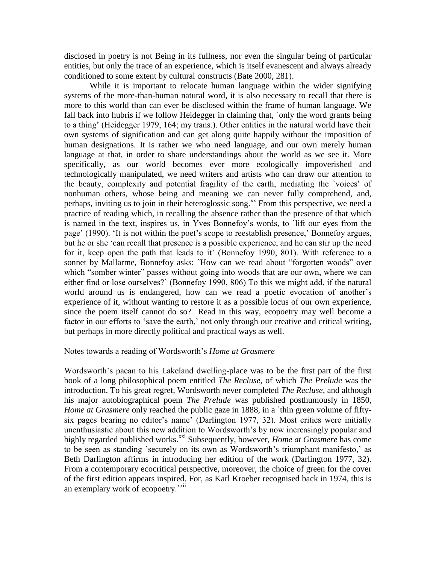disclosed in poetry is not Being in its fullness, nor even the singular being of particular entities, but only the trace of an experience, which is itself evanescent and always already conditioned to some extent by cultural constructs (Bate 2000, 281).

While it is important to relocate human language within the wider signifying systems of the more-than-human natural word, it is also necessary to recall that there is more to this world than can ever be disclosed within the frame of human language. We fall back into hubris if we follow Heidegger in claiming that, `only the word grants being to a thing" (Heidegger 1979, 164; my trans.). Other entities in the natural world have their own systems of signification and can get along quite happily without the imposition of human designations. It is rather we who need language, and our own merely human language at that, in order to share understandings about the world as we see it. More specifically, as our world becomes ever more ecologically impoverished and technologically manipulated, we need writers and artists who can draw our attention to the beauty, complexity and potential fragility of the earth, mediating the `voices" of nonhuman others, whose being and meaning we can never fully comprehend, and, perhaps, inviting us to join in their heteroglossic song.<sup>xx</sup> From this perspective, we need a practice of reading which, in recalling the absence rather than the presence of that which is named in the text, inspires us, in Yves Bonnefoy"s words, to `lift our eyes from the page' (1990). 'It is not within the poet's scope to reestablish presence,' Bonnefoy argues, but he or she "can recall that presence is a possible experience, and he can stir up the need for it, keep open the path that leads to it' (Bonnefoy 1990, 801). With reference to a sonnet by Mallarme, Bonnefoy asks: `How can we read about "forgotten woods" over which "somber winter" passes without going into woods that are our own, where we can either find or lose ourselves?" (Bonnefoy 1990, 806) To this we might add, if the natural world around us is endangered, how can we read a poetic evocation of another"s experience of it, without wanting to restore it as a possible locus of our own experience, since the poem itself cannot do so? Read in this way, ecopoetry may well become a factor in our efforts to 'save the earth,' not only through our creative and critical writing, but perhaps in more directly political and practical ways as well.

# Notes towards a reading of Wordsworth"s *Home at Grasmere*

Wordsworth's paean to his Lakeland dwelling-place was to be the first part of the first book of a long philosophical poem entitled *The Recluse*, of which *The Prelude* was the introduction. To his great regret, Wordsworth never completed *The Recluse*, and although his major autobiographical poem *The Prelude* was published posthumously in 1850, *Home at Grasmere* only reached the public gaze in 1888, in a 'thin green volume of fiftysix pages bearing no editor's name' (Darlington 1977, 32). Most critics were initially unenthusiastic about this new addition to Wordsworth's by now increasingly popular and highly regarded published works.<sup>xxi</sup> Subsequently, however, *Home at Grasmere* has come to be seen as standing 'securely on its own as Wordsworth's triumphant manifesto,' as Beth Darlington affirms in introducing her edition of the work (Darlington 1977, 32). From a contemporary ecocritical perspective, moreover, the choice of green for the cover of the first edition appears inspired. For, as Karl Kroeber recognised back in 1974, this is an exemplary work of ecopoetry.<sup>xxii</sup>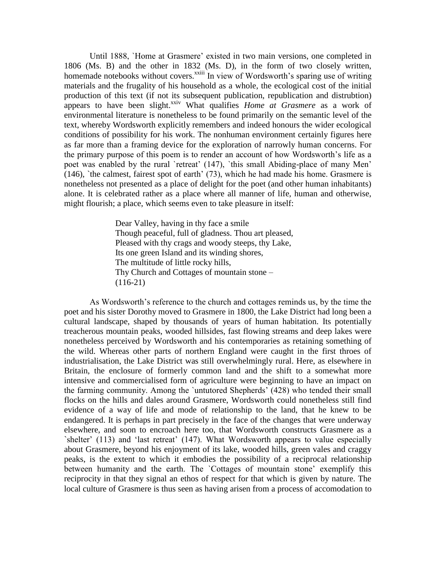Until 1888, `Home at Grasmere" existed in two main versions, one completed in 1806 (Ms. B) and the other in 1832 (Ms. D), in the form of two closely written, homemade notebooks without covers.<sup>xxiii</sup> In view of Wordsworth's sparing use of writing materials and the frugality of his household as a whole, the ecological cost of the initial production of this text (if not its subsequent publication, republication and distrubtion) appears to have been slight.<sup>xxiv</sup> What qualifies *Home at Grasmere* as a work of environmental literature is nonetheless to be found primarily on the semantic level of the text, whereby Wordsworth explicitly remembers and indeed honours the wider ecological conditions of possibility for his work. The nonhuman environment certainly figures here as far more than a framing device for the exploration of narrowly human concerns. For the primary purpose of this poem is to render an account of how Wordsworth's life as a poet was enabled by the rural `retreat' (147), `this small Abiding-place of many Men'  $(146)$ , 'the calmest, fairest spot of earth'  $(73)$ , which he had made his home. Grasmere is nonetheless not presented as a place of delight for the poet (and other human inhabitants) alone. It is celebrated rather as a place where all manner of life, human and otherwise, might flourish; a place, which seems even to take pleasure in itself:

> Dear Valley, having in thy face a smile Though peaceful, full of gladness. Thou art pleased, Pleased with thy crags and woody steeps, thy Lake, Its one green Island and its winding shores, The multitude of little rocky hills, Thy Church and Cottages of mountain stone – (116-21)

As Wordsworth"s reference to the church and cottages reminds us, by the time the poet and his sister Dorothy moved to Grasmere in 1800, the Lake District had long been a cultural landscape, shaped by thousands of years of human habitation. Its potentially treacherous mountain peaks, wooded hillsides, fast flowing streams and deep lakes were nonetheless perceived by Wordsworth and his contemporaries as retaining something of the wild. Whereas other parts of northern England were caught in the first throes of industrialisation, the Lake District was still overwhelmingly rural. Here, as elsewhere in Britain, the enclosure of formerly common land and the shift to a somewhat more intensive and commercialised form of agriculture were beginning to have an impact on the farming community. Among the 'untutored Shepherds' (428) who tended their small flocks on the hills and dales around Grasmere, Wordsworth could nonetheless still find evidence of a way of life and mode of relationship to the land, that he knew to be endangered. It is perhaps in part precisely in the face of the changes that were underway elsewhere, and soon to encroach here too, that Wordsworth constructs Grasmere as a `shelter" (113) and "last retreat" (147). What Wordsworth appears to value especially about Grasmere, beyond his enjoyment of its lake, wooded hills, green vales and craggy peaks, is the extent to which it embodies the possibility of a reciprocal relationship between humanity and the earth. The `Cottages of mountain stone' exemplify this reciprocity in that they signal an ethos of respect for that which is given by nature. The local culture of Grasmere is thus seen as having arisen from a process of accomodation to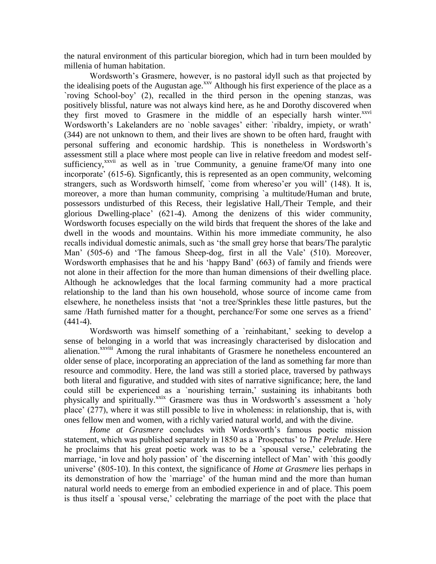the natural environment of this particular bioregion, which had in turn been moulded by millenia of human habitation.

Wordsworth's Grasmere, however, is no pastoral idyll such as that projected by the idealising poets of the Augustan age.<sup>xxv</sup> Although his first experience of the place as a `roving School-boy" (2), recalled in the third person in the opening stanzas, was positively blissful, nature was not always kind here, as he and Dorothy discovered when they first moved to Grasmere in the middle of an especially harsh winter.<sup>xxvi</sup> Wordsworth's Lakelanders are no 'noble savages' either: 'ribaldry, impiety, or wrath' (344) are not unknown to them, and their lives are shown to be often hard, fraught with personal suffering and economic hardship. This is nonetheless in Wordsworth"s assessment still a place where most people can live in relative freedom and modest selfsufficiency, $x^{x}$  as well as in `true Community, a genuine frame/Of many into one incorporate' (615-6). Signficantly, this is represented as an open community, welcoming strangers, such as Wordsworth himself, 'come from whereso'er you will' (148). It is, moreover, a more than human community, comprising `a multitude/Human and brute, possessors undisturbed of this Recess, their legislative Hall,/Their Temple, and their glorious Dwelling-place" (621-4). Among the denizens of this wider community, Wordsworth focuses especially on the wild birds that frequent the shores of the lake and dwell in the woods and mountains. Within his more immediate community, he also recalls individual domestic animals, such as "the small grey horse that bears/The paralytic Man' (505-6) and 'The famous Sheep-dog, first in all the Vale' (510). Moreover, Wordsworth emphasises that he and his 'happy Band' (663) of family and friends were not alone in their affection for the more than human dimensions of their dwelling place. Although he acknowledges that the local farming community had a more practical relationship to the land than his own household, whose source of income came from elsewhere, he nonetheless insists that "not a tree/Sprinkles these little pastures, but the same /Hath furnished matter for a thought, perchance/For some one serves as a friend'  $(441-4)$ .

Wordsworth was himself something of a 'reinhabitant,' seeking to develop a sense of belonging in a world that was increasingly characterised by dislocation and alienation.<sup>xxviii</sup> Among the rural inhabitants of Grasmere he nonetheless encountered an older sense of place, incorporating an appreciation of the land as something far more than resource and commodity. Here, the land was still a storied place, traversed by pathways both literal and figurative, and studded with sites of narrative significance; here, the land could still be experienced as a `nourishing terrain," sustaining its inhabitants both physically and spiritually.<sup>xxix</sup> Grasmere was thus in Wordsworth's assessment a 'holy place" (277), where it was still possible to live in wholeness: in relationship, that is, with ones fellow men and women, with a richly varied natural world, and with the divine.

*Home at Grasmere* concludes with Wordsworth's famous poetic mission statement, which was published separately in 1850 as a `Prospectus" to *The Prelude*. Here he proclaims that his great poetic work was to be a 'spousal verse,' celebrating the marriage, 'in love and holy passion' of 'the discerning intellect of Man' with 'this goodly universe" (805-10). In this context, the significance of *Home at Grasmere* lies perhaps in its demonstration of how the `marriage" of the human mind and the more than human natural world needs to emerge from an embodied experience in and of place. This poem is thus itself a 'spousal verse,' celebrating the marriage of the poet with the place that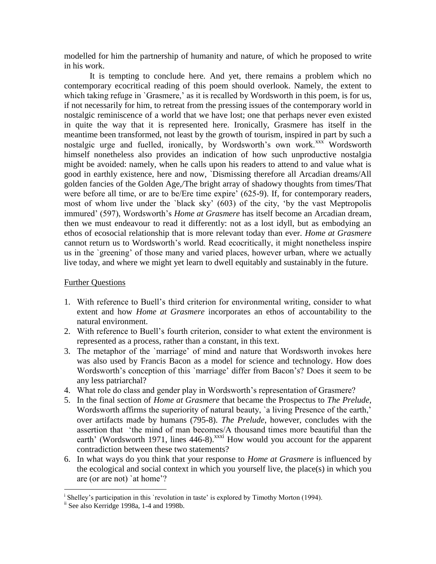modelled for him the partnership of humanity and nature, of which he proposed to write in his work.

It is tempting to conclude here. And yet, there remains a problem which no contemporary ecocritical reading of this poem should overlook. Namely, the extent to which taking refuge in 'Grasmere,' as it is recalled by Wordsworth in this poem, is for us, if not necessarily for him, to retreat from the pressing issues of the contemporary world in nostalgic reminiscence of a world that we have lost; one that perhaps never even existed in quite the way that it is represented here. Ironically, Grasmere has itself in the meantime been transformed, not least by the growth of tourism, inspired in part by such a nostalgic urge and fuelled, ironically, by Wordsworth's own work.<sup>xxx</sup> Wordsworth himself nonetheless also provides an indication of how such unproductive nostalgia might be avoided: namely, when he calls upon his readers to attend to and value what is good in earthly existence, here and now, `Dismissing therefore all Arcadian dreams/All golden fancies of the Golden Age,/The bright array of shadowy thoughts from times/That were before all time, or are to be/Ere time expire' (625-9). If, for contemporary readers, most of whom live under the `black sky" (603) of the city, "by the vast Meptropolis immured" (597), Wordsworth"s *Home at Grasmere* has itself become an Arcadian dream, then we must endeavour to read it differently: not as a lost idyll, but as embodying an ethos of ecosocial relationship that is more relevant today than ever. *Home at Grasmere* cannot return us to Wordsworth"s world. Read ecocritically, it might nonetheless inspire us in the `greening" of those many and varied places, however urban, where we actually live today, and where we might yet learn to dwell equitably and sustainably in the future.

# Further Questions

- 1. With reference to Buell"s third criterion for environmental writing, consider to what extent and how *Home at Grasmere* incorporates an ethos of accountability to the natural environment.
- 2. With reference to Buell"s fourth criterion, consider to what extent the environment is represented as a process, rather than a constant, in this text.
- 3. The metaphor of the `marriage" of mind and nature that Wordsworth invokes here was also used by Francis Bacon as a model for science and technology. How does Wordsworth's conception of this 'marriage' differ from Bacon's? Does it seem to be any less patriarchal?
- 4. What role do class and gender play in Wordsworth"s representation of Grasmere?
- 5. In the final section of *Home at Grasmere* that became the Prospectus to *The Prelude*, Wordsworth affirms the superiority of natural beauty, `a living Presence of the earth,' over artifacts made by humans (795-8). *The Prelude*, however, concludes with the assertion that "the mind of man becomes/A thousand times more beautiful than the earth' (Wordsworth 1971, lines  $446-8$ ).<sup>xxxi</sup> How would you account for the apparent contradiction between these two statements?
- 6. In what ways do you think that your response to *Home at Grasmere* is influenced by the ecological and social context in which you yourself live, the place(s) in which you are (or are not) `at home"?

<sup>&</sup>lt;sup>i</sup> Shelley's participation in this `revolution in taste' is explored by Timothy Morton (1994).

ii See also Kerridge 1998a, 1-4 and 1998b.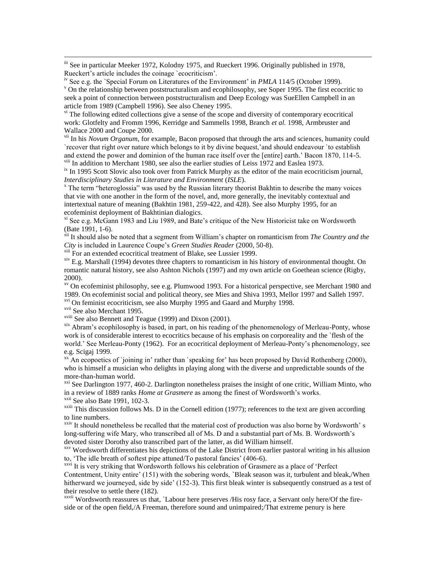iii See in particular Meeker 1972, Kolodny 1975, and Rueckert 1996. Originally published in 1978, Rueckert's article includes the coinage 'ecocriticism'.

<sup>iv</sup> See e.g. the `Special Forum on Literatures of the Environment' in *PMLA* 114/5 (October 1999).

 $\rm{v}$  On the relationship between poststructuralism and ecophilosophy, see Soper 1995. The first ecocritic to seek a point of connection between poststructuralism and Deep Ecology was SueEllen Campbell in an article from 1989 (Campbell 1996). See also Cheney 1995.

<sup>vi</sup> The following edited collections give a sense of the scope and diversity of contemporary ecocritical work: Glotfelty and Fromm 1996, Kerridge and Sammells 1998, Branch *et al.* 1998, Armbruster and Wallace 2000 and Coupe 2000.

<sup>vii</sup> In his *Novum Organum*, for example, Bacon proposed that through the arts and sciences, humanity could `recover that right over nature which belongs to it by divine bequest,"and should endeavour `to establish and extend the power and dominion of the human race itself over the [entire] earth." Bacon 1870, 114-5. viii In addition to Merchant 1980, see also the earlier studies of Leiss 1972 and Easlea 1973.

<sup>ix</sup> In 1995 Scott Slovic also took over from Patrick Murphy as the editor of the main ecocriticism journal, *Interdisciplinary Studies in Literature and Environment* (*ISLE*).

<sup>x</sup> The term "heteroglossia" was used by the Russian literary theorist Bakhtin to describe the many voices that vie with one another in the form of the novel, and, more generally, the inevitably contextual and intertextual nature of meaning (Bakhtin 1981, 259-422, and 428). See also Murphy 1995, for an ecofeminist deployment of Bakhtinian dialogics.

<sup>xi</sup> See e.g. McGann 1983 and Liu 1989, and Bate's critique of the New Historicist take on Wordsworth (Bate 1991, 1-6).

xii It should also be noted that a segment from William"s chapter on romanticism from *The Country and the City* is included in Laurence Coupe"s *Green Studies Reader* (2000, 50-8).

<sup>xiii</sup> For an extended ecocritical treatment of Blake, see Lussier 1999.

<sup>xiv</sup> E.g. Marshall (1994) devotes three chapters to romanticism in his history of environmental thought. On romantic natural history, see also Ashton Nichols (1997) and my own article on Goethean science (Rigby, 2000).

<sup>xv</sup> On ecofeminist philosophy, see e.g. Plumwood 1993. For a historical perspective, see Merchant 1980 and 1989. On ecofeminist social and political theory, see Mies and Shiva 1993, Mellor 1997 and Salleh 1997. <sup>xvi</sup> On feminist ecocriticism, see also Murphy 1995 and Gaard and Murphy 1998.

xvii See also Merchant 1995.

 $\overline{a}$ 

xviii See also Bennett and Teague (1999) and Dixon (2001).

xix Abram"s ecophilosophy is based, in part, on his reading of the phenomenology of Merleau-Ponty, whose work is of considerable interest to ecocritics because of his emphasis on corporeality and the `flesh of the world." See Merleau-Ponty (1962). For an ecocritical deployment of Merleau-Ponty's phenomenology, see e.g. Scigaj 1999.

 $\frac{xx}{x}$  An ecopoetics of `joining in' rather than `speaking for' has been proposed by David Rothenberg (2000), who is himself a musician who delights in playing along with the diverse and unpredictable sounds of the more-than-human world.

 $xxi$  See Darlington 1977, 460-2. Darlington nonetheless praises the insight of one critic, William Minto, who in a review of 1889 ranks *Home at Grasmere* as among the finest of Wordsworth"s works. xxii See also Bate 1991, 102-3.

<sup>xxiii</sup> This discussion follows Ms. D in the Cornell edition (1977); references to the text are given according to line numbers.

 $\frac{x}{x}$  It should nonetheless be recalled that the material cost of production was also borne by Wordsworth' s long-suffering wife Mary, who transcribed all of Ms. D and a substantial part of Ms. B. Wordsworth's devoted sister Dorothy also transcribed part of the latter, as did William himself.

xxv Wordsworth differentiates his depictions of the Lake District from earlier pastoral writing in his allusion to, 'The idle breath of softest pipe attuned/To pastoral fancies' (406-6).

<sup>xxvi</sup> It is very striking that Wordsworth follows his celebration of Grasmere as a place of 'Perfect Contentment, Unity entire' (151) with the sobering words, 'Bleak season was it, turbulent and bleak, When hitherward we journeyed, side by side' (152-3). This first bleak winter is subsequently construed as a test of their resolve to settle there (182).

xxvii Wordsworth reassures us that, `Labour here preserves /His rosy face, a Servant only here/Of the fireside or of the open field,/A Freeman, therefore sound and unimpaired;/That extreme penury is here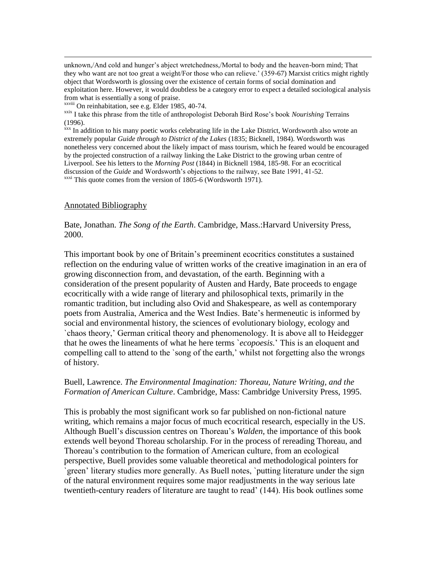unknown,/And cold and hunger"s abject wretchedness,/Mortal to body and the heaven-born mind; That they who want are not too great a weight/For those who can relieve." (359-67) Marxist critics might rightly object that Wordsworth is glossing over the existence of certain forms of social domination and exploitation here. However, it would doubtless be a category error to expect a detailed sociological analysis from what is essentially a song of praise.

xxviii On reinhabitation, see e.g. Elder 1985, 40-74.

xxix I take this phrase from the title of anthropologist Deborah Bird Rose"s book *Nourishing* Terrains (1996).

<sup>xxx</sup> In addition to his many poetic works celebrating life in the Lake District, Wordsworth also wrote an extremely popular *Guide through to District of the Lakes* (1835; Bicknell, 1984). Wordsworth was nonetheless very concerned about the likely impact of mass tourism, which he feared would be encouraged by the projected construction of a railway linking the Lake District to the growing urban centre of Liverpool. See his letters to the *Morning Post* (1844) in Bicknell 1984, 185-98. For an ecocritical discussion of the *Guide* and Wordsworth's objections to the railway, see Bate 1991, 41-52.  $x$ <sup>xxxi</sup> This quote comes from the version of 1805-6 (Wordsworth 1971).

#### Annotated Bibliography

 $\overline{a}$ 

Bate, Jonathan. *The Song of the Earth*. Cambridge, Mass.:Harvard University Press, 2000.

This important book by one of Britain"s preeminent ecocritics constitutes a sustained reflection on the enduring value of written works of the creative imagination in an era of growing disconnection from, and devastation, of the earth. Beginning with a consideration of the present popularity of Austen and Hardy, Bate proceeds to engage ecocritically with a wide range of literary and philosophical texts, primarily in the romantic tradition, but including also Ovid and Shakespeare, as well as contemporary poets from Australia, America and the West Indies. Bate"s hermeneutic is informed by social and environmental history, the sciences of evolutionary biology, ecology and `chaos theory," German critical theory and phenomenology. It is above all to Heidegger that he owes the lineaments of what he here terms `*ecopoesis.*" This is an eloquent and compelling call to attend to the 'song of the earth,' whilst not forgetting also the wrongs of history.

### Buell, Lawrence. *The Environmental Imagination: Thoreau, Nature Writing, and the Formation of American Culture*. Cambridge, Mass: Cambridge University Press, 1995.

This is probably the most significant work so far published on non-fictional nature writing, which remains a major focus of much ecocritical research, especially in the US. Although Buell"s discussion centres on Thoreau"s *Walden*, the importance of this book extends well beyond Thoreau scholarship. For in the process of rereading Thoreau, and Thoreau"s contribution to the formation of American culture, from an ecological perspective, Buell provides some valuable theoretical and methodological pointers for `green" literary studies more generally. As Buell notes, `putting literature under the sign of the natural environment requires some major readjustments in the way serious late twentieth-century readers of literature are taught to read" (144). His book outlines some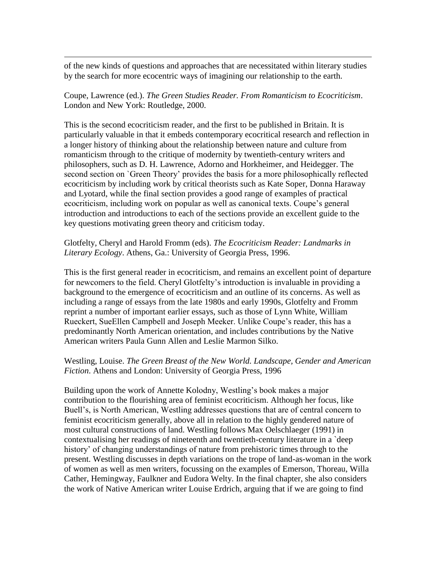of the new kinds of questions and approaches that are necessitated within literary studies by the search for more ecocentric ways of imagining our relationship to the earth.

 $\overline{a}$ 

Coupe, Lawrence (ed.). *The Green Studies Reader. From Romanticism to Ecocriticism*. London and New York: Routledge, 2000.

This is the second ecocriticism reader, and the first to be published in Britain. It is particularly valuable in that it embeds contemporary ecocritical research and reflection in a longer history of thinking about the relationship between nature and culture from romanticism through to the critique of modernity by twentieth-century writers and philosophers, such as D. H. Lawrence, Adorno and Horkheimer, and Heidegger. The second section on `Green Theory" provides the basis for a more philosophically reflected ecocriticism by including work by critical theorists such as Kate Soper, Donna Haraway and Lyotard, while the final section provides a good range of examples of practical ecocriticism, including work on popular as well as canonical texts. Coupe"s general introduction and introductions to each of the sections provide an excellent guide to the key questions motivating green theory and criticism today.

Glotfelty, Cheryl and Harold Fromm (eds). *The Ecocriticism Reader: Landmarks in Literary Ecology*. Athens, Ga.: University of Georgia Press, 1996.

This is the first general reader in ecocriticism, and remains an excellent point of departure for newcomers to the field. Cheryl Glotfelty"s introduction is invaluable in providing a background to the emergence of ecocriticism and an outline of its concerns. As well as including a range of essays from the late 1980s and early 1990s, Glotfelty and Fromm reprint a number of important earlier essays, such as those of Lynn White, William Rueckert, SueEllen Campbell and Joseph Meeker. Unlike Coupe"s reader, this has a predominantly North American orientation, and includes contributions by the Native American writers Paula Gunn Allen and Leslie Marmon Silko.

# Westling, Louise. *The Green Breast of the New World. Landscape, Gender and American Fiction*. Athens and London: University of Georgia Press, 1996

Building upon the work of Annette Kolodny, Westling's book makes a major contribution to the flourishing area of feminist ecocriticism. Although her focus, like Buell"s, is North American, Westling addresses questions that are of central concern to feminist ecocriticism generally, above all in relation to the highly gendered nature of most cultural constructions of land. Westling follows Max Oelschlaeger (1991) in contextualising her readings of nineteenth and twentieth-century literature in a `deep history" of changing understandings of nature from prehistoric times through to the present. Westling discusses in depth variations on the trope of land-as-woman in the work of women as well as men writers, focussing on the examples of Emerson, Thoreau, Willa Cather, Hemingway, Faulkner and Eudora Welty. In the final chapter, she also considers the work of Native American writer Louise Erdrich, arguing that if we are going to find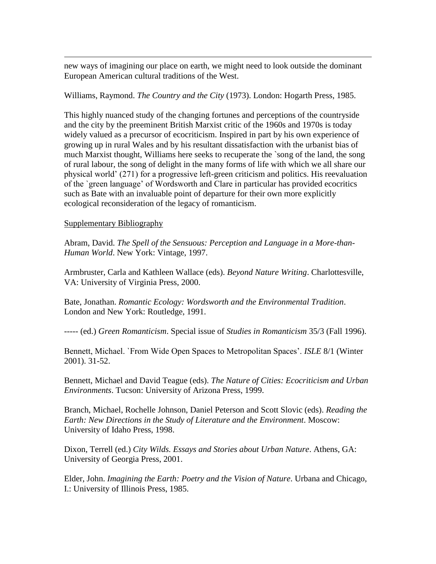new ways of imagining our place on earth, we might need to look outside the dominant European American cultural traditions of the West.

Williams, Raymond. *The Country and the City* (1973). London: Hogarth Press, 1985.

This highly nuanced study of the changing fortunes and perceptions of the countryside and the city by the preeminent British Marxist critic of the 1960s and 1970s is today widely valued as a precursor of ecocriticism. Inspired in part by his own experience of growing up in rural Wales and by his resultant dissatisfaction with the urbanist bias of much Marxist thought, Williams here seeks to recuperate the `song of the land, the song of rural labour, the song of delight in the many forms of life with which we all share our physical world" (271) for a progressive left-green criticism and politics. His reevaluation of the `green language" of Wordsworth and Clare in particular has provided ecocritics such as Bate with an invaluable point of departure for their own more explicitly ecological reconsideration of the legacy of romanticism.

### Supplementary Bibliography

 $\overline{a}$ 

Abram, David. *The Spell of the Sensuous: Perception and Language in a More-than-Human World*. New York: Vintage, 1997.

Armbruster, Carla and Kathleen Wallace (eds). *Beyond Nature Writing*. Charlottesville, VA: University of Virginia Press, 2000.

Bate, Jonathan. *Romantic Ecology: Wordsworth and the Environmental Tradition*. London and New York: Routledge, 1991.

----- (ed.) *Green Romanticism*. Special issue of *Studies in Romanticism* 35/3 (Fall 1996).

Bennett, Michael. `From Wide Open Spaces to Metropolitan Spaces'. *ISLE* 8/1 (Winter 2001). 31-52.

Bennett, Michael and David Teague (eds). *The Nature of Cities: Ecocriticism and Urban Environments*. Tucson: University of Arizona Press, 1999.

Branch, Michael, Rochelle Johnson, Daniel Peterson and Scott Slovic (eds). *Reading the Earth: New Directions in the Study of Literature and the Environment*. Moscow: University of Idaho Press, 1998.

Dixon, Terrell (ed.) *City Wilds. Essays and Stories about Urban Nature*. Athens, GA: University of Georgia Press, 2001.

Elder, John. *Imagining the Earth: Poetry and the Vision of Nature*. Urbana and Chicago, I.: University of Illinois Press, 1985.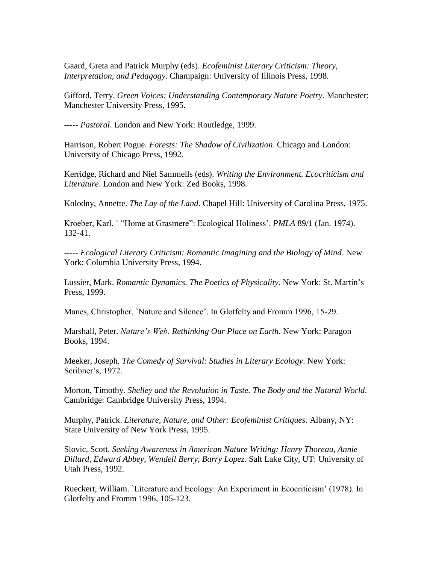Gaard, Greta and Patrick Murphy (eds). *Ecofeminist Literary Criticism: Theory, Interpretation, and Pedagogy*. Champaign: University of Illinois Press, 1998.

Gifford, Terry. *Green Voices: Understanding Contemporary Nature Poetry*. Manchester: Manchester University Press, 1995.

----- *Pastoral*. London and New York: Routledge, 1999.

 $\overline{a}$ 

Harrison, Robert Pogue. *Forests: The Shadow of Civilization*. Chicago and London: University of Chicago Press, 1992.

Kerridge, Richard and Niel Sammells (eds). *Writing the Environment. Ecocriticism and Literature*. London and New York: Zed Books, 1998.

Kolodny, Annette. *The Lay of the Land*. Chapel Hill: University of Carolina Press, 1975.

Kroeber, Karl. ` "Home at Grasmere": Ecological Holiness". *PMLA* 89/1 (Jan. 1974). 132-41.

----- *Ecological Literary Criticism: Romantic Imagining and the Biology of Mind*. New York: Columbia University Press, 1994.

Lussier, Mark. *Romantic Dynamics. The Poetics of Physicality*. New York: St. Martin"s Press, 1999.

Manes, Christopher. `Nature and Silence'. In Glotfelty and Fromm 1996, 15-29.

Marshall, Peter. *Nature's Web. Rethinking Our Place on Earth*. New York: Paragon Books, 1994.

Meeker, Joseph. *The Comedy of Survival: Studies in Literary Ecology*. New York: Scribner's, 1972.

Morton, Timothy. *Shelley and the Revolution in Taste. The Body and the Natural World*. Cambridge: Cambridge University Press, 1994.

Murphy, Patrick. *Literature, Nature, and Other: Ecofeminist Critiques*. Albany, NY: State University of New York Press, 1995.

Slovic, Scott. *Seeking Awareness in American Nature Writing: Henry Thoreau, Annie Dillard, Edward Abbey, Wendell Berry, Barry Lopez*. Salt Lake City, UT: University of Utah Press, 1992.

Rueckert, William. `Literature and Ecology: An Experiment in Ecocriticism" (1978). In Glotfelty and Fromm 1996, 105-123.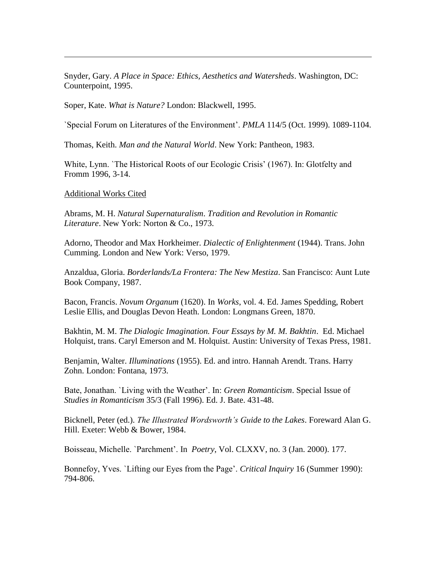Snyder, Gary. *A Place in Space: Ethics, Aesthetics and Watersheds*. Washington, DC: Counterpoint, 1995.

Soper, Kate. *What is Nature?* London: Blackwell, 1995.

`Special Forum on Literatures of the Environment". *PMLA* 114/5 (Oct. 1999). 1089-1104.

Thomas, Keith. *Man and the Natural World*. New York: Pantheon, 1983.

White, Lynn. 'The Historical Roots of our Ecologic Crisis' (1967). In: Glotfelty and Fromm 1996, 3-14.

#### Additional Works Cited

 $\overline{a}$ 

Abrams, M. H. *Natural Supernaturalism*. *Tradition and Revolution in Romantic Literature*. New York: Norton & Co., 1973.

Adorno, Theodor and Max Horkheimer. *Dialectic of Enlightenment* (1944). Trans. John Cumming. London and New York: Verso, 1979.

Anzaldua, Gloria. *Borderlands/La Frontera: The New Mestiza*. San Francisco: Aunt Lute Book Company, 1987.

Bacon, Francis. *Novum Organum* (1620). In *Works*, vol. 4. Ed. James Spedding, Robert Leslie Ellis, and Douglas Devon Heath. London: Longmans Green, 1870.

Bakhtin, M. M. *The Dialogic Imagination. Four Essays by M. M. Bakhtin*. Ed. Michael Holquist, trans. Caryl Emerson and M. Holquist. Austin: University of Texas Press, 1981.

Benjamin, Walter. *Illuminations* (1955). Ed. and intro. Hannah Arendt. Trans. Harry Zohn. London: Fontana, 1973.

Bate, Jonathan. `Living with the Weather". In: *Green Romanticism*. Special Issue of *Studies in Romanticism* 35/3 (Fall 1996). Ed. J. Bate. 431-48.

Bicknell, Peter (ed.). *The Illustrated Wordsworth's Guide to the Lakes*. Foreward Alan G. Hill. Exeter: Webb & Bower, 1984.

Boisseau, Michelle. `Parchment". In *Poetry*, Vol. CLXXV, no. 3 (Jan. 2000). 177.

Bonnefoy, Yves. `Lifting our Eyes from the Page". *Critical Inquiry* 16 (Summer 1990): 794-806.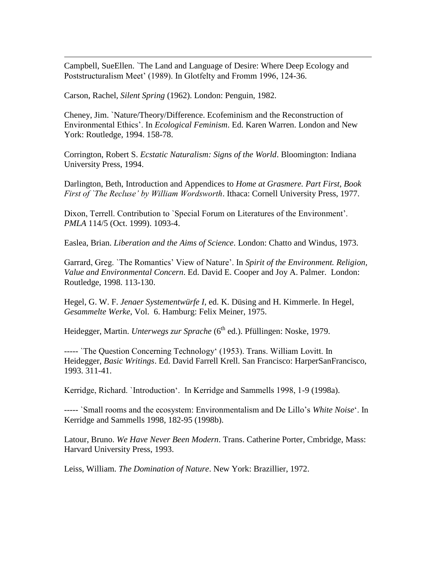Campbell, SueEllen. `The Land and Language of Desire: Where Deep Ecology and Poststructuralism Meet' (1989). In Glotfelty and Fromm 1996, 124-36.

Carson, Rachel, *Silent Spring* (1962). London: Penguin, 1982.

 $\overline{a}$ 

Cheney, Jim. `Nature/Theory/Difference. Ecofeminism and the Reconstruction of Environmental Ethics". In *Ecological Feminism*. Ed. Karen Warren. London and New York: Routledge, 1994. 158-78.

Corrington, Robert S. *Ecstatic Naturalism: Signs of the World*. Bloomington: Indiana University Press, 1994.

Darlington, Beth, Introduction and Appendices to *Home at Grasmere. Part First, Book First of `The Recluse' by William Wordsworth*. Ithaca: Cornell University Press, 1977.

Dixon, Terrell. Contribution to `Special Forum on Literatures of the Environment". *PMLA* 114/5 (Oct. 1999). 1093-4.

Easlea, Brian. *Liberation and the Aims of Science*. London: Chatto and Windus, 1973.

Garrard, Greg. `The Romantics" View of Nature". In *Spirit of the Environment. Religion, Value and Environmental Concern*. Ed. David E. Cooper and Joy A. Palmer. London: Routledge, 1998. 113-130.

Hegel, G. W. F. *Jenaer Systementwürfe I*, ed. K. Düsing and H. Kimmerle. In Hegel, *Gesammelte Werke*, Vol. 6. Hamburg: Felix Meiner, 1975.

Heidegger, Martin. *Unterwegs zur Sprache* (6<sup>th</sup> ed.). Pfüllingen: Noske, 1979.

----- `The Question Concerning Technology' (1953). Trans. William Lovitt. In Heidegger, *Basic Writings*. Ed. David Farrell Krell. San Francisco: HarperSanFrancisco, 1993. 311-41.

Kerridge, Richard. `Introduction". In Kerridge and Sammells 1998, 1-9 (1998a).

----- `Small rooms and the ecosystem: Environmentalism and De Lillo"s *White Noise*". In Kerridge and Sammells 1998, 182-95 (1998b).

Latour, Bruno. *We Have Never Been Modern*. Trans. Catherine Porter, Cmbridge, Mass: Harvard University Press, 1993.

Leiss, William. *The Domination of Nature*. New York: Brazillier, 1972.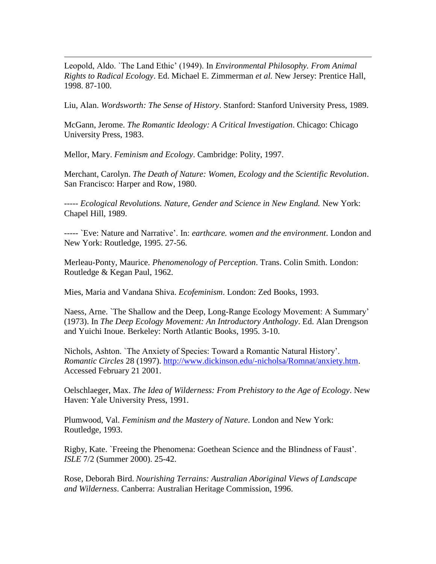Leopold, Aldo. `The Land Ethic" (1949). In *Environmental Philosophy. From Animal Rights to Radical Ecology*. Ed. Michael E. Zimmerman *et al.* New Jersey: Prentice Hall, 1998. 87-100.

Liu, Alan. *Wordsworth: The Sense of History*. Stanford: Stanford University Press, 1989.

McGann, Jerome. *The Romantic Ideology: A Critical Investigation*. Chicago: Chicago University Press, 1983.

Mellor, Mary. *Feminism and Ecology*. Cambridge: Polity, 1997.

 $\overline{a}$ 

Merchant, Carolyn. *The Death of Nature: Women, Ecology and the Scientific Revolution*. San Francisco: Harper and Row, 1980.

----- *Ecological Revolutions. Nature, Gender and Science in New England.* New York: Chapel Hill, 1989.

----- `Eve: Nature and Narrative". In: *earthcare. women and the environment*. London and New York: Routledge, 1995. 27-56.

Merleau-Ponty, Maurice. *Phenomenology of Perception*. Trans. Colin Smith. London: Routledge & Kegan Paul, 1962.

Mies, Maria and Vandana Shiva. *Ecofeminism*. London: Zed Books, 1993.

Naess, Arne. `The Shallow and the Deep, Long-Range Ecology Movement: A Summary" (1973). In *The Deep Ecology Movement: An Introductory Anthology*. Ed. Alan Drengson and Yuichi Inoue. Berkeley: North Atlantic Books, 1995. 3-10.

Nichols, Ashton. `The Anxiety of Species: Toward a Romantic Natural History". *Romantic Circles* 28 (1997). [http://www.dickinson.edu/-nicholsa/Romnat/anxiety.htm.](http://www.dickinson.edu/-nicholsa/Romnat/anxiety.htm) Accessed February 21 2001.

Oelschlaeger, Max. *The Idea of Wilderness: From Prehistory to the Age of Ecology*. New Haven: Yale University Press, 1991.

Plumwood, Val. *Feminism and the Mastery of Nature*. London and New York: Routledge, 1993.

Rigby, Kate. `Freeing the Phenomena: Goethean Science and the Blindness of Faust". *ISLE* 7/2 (Summer 2000). 25-42.

Rose, Deborah Bird. *Nourishing Terrains: Australian Aboriginal Views of Landscape and Wilderness*. Canberra: Australian Heritage Commission, 1996.